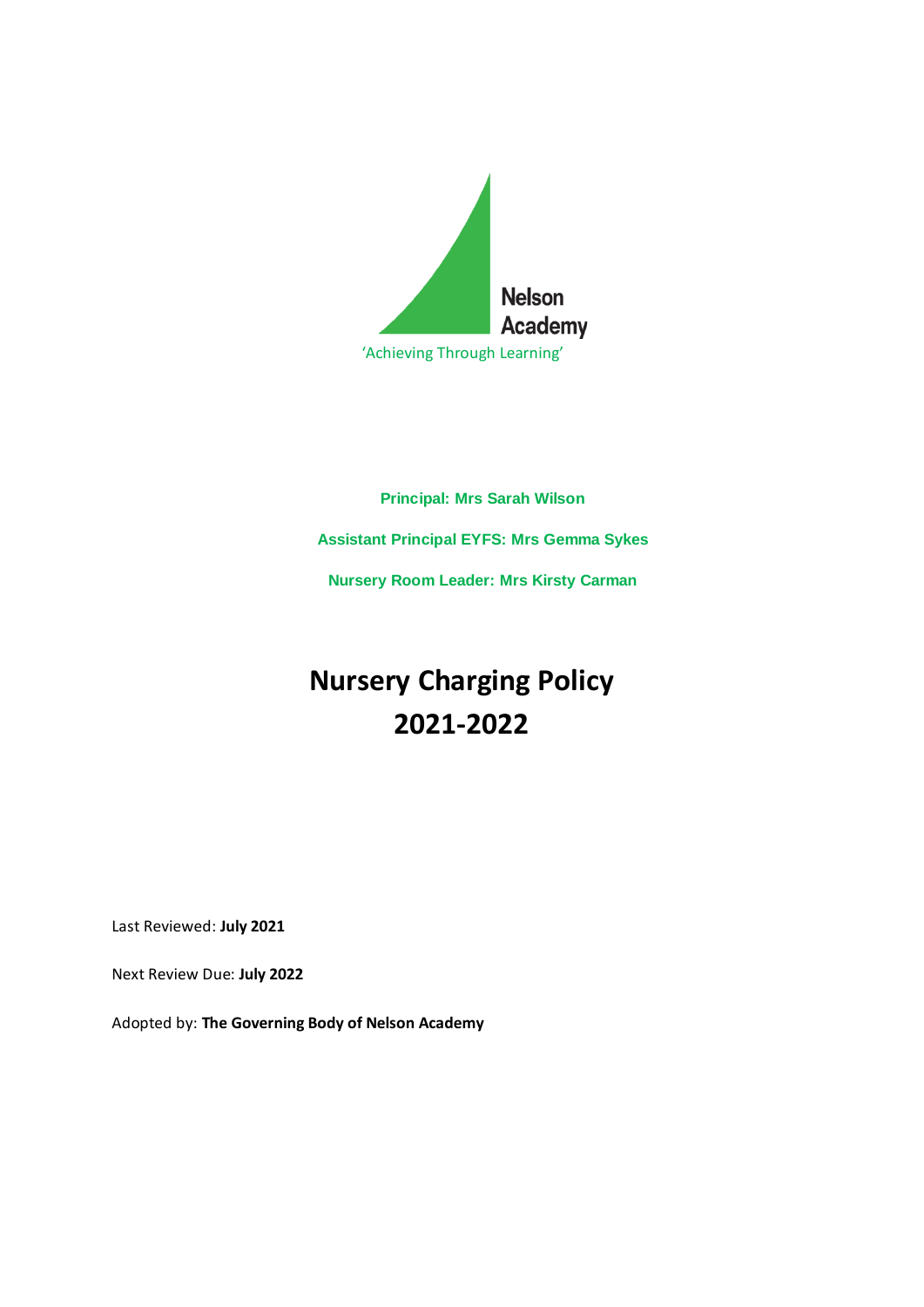

# **Principal: Mrs Sarah Wilson Assistant Principal EYFS: Mrs Gemma Sykes Nursery Room Leader: Mrs Kirsty Carman**

# **Nursery Charging Policy 2021-2022**

Last Reviewed: **July 2021**

Next Review Due: **July 2022**

Adopted by: **The Governing Body of Nelson Academy**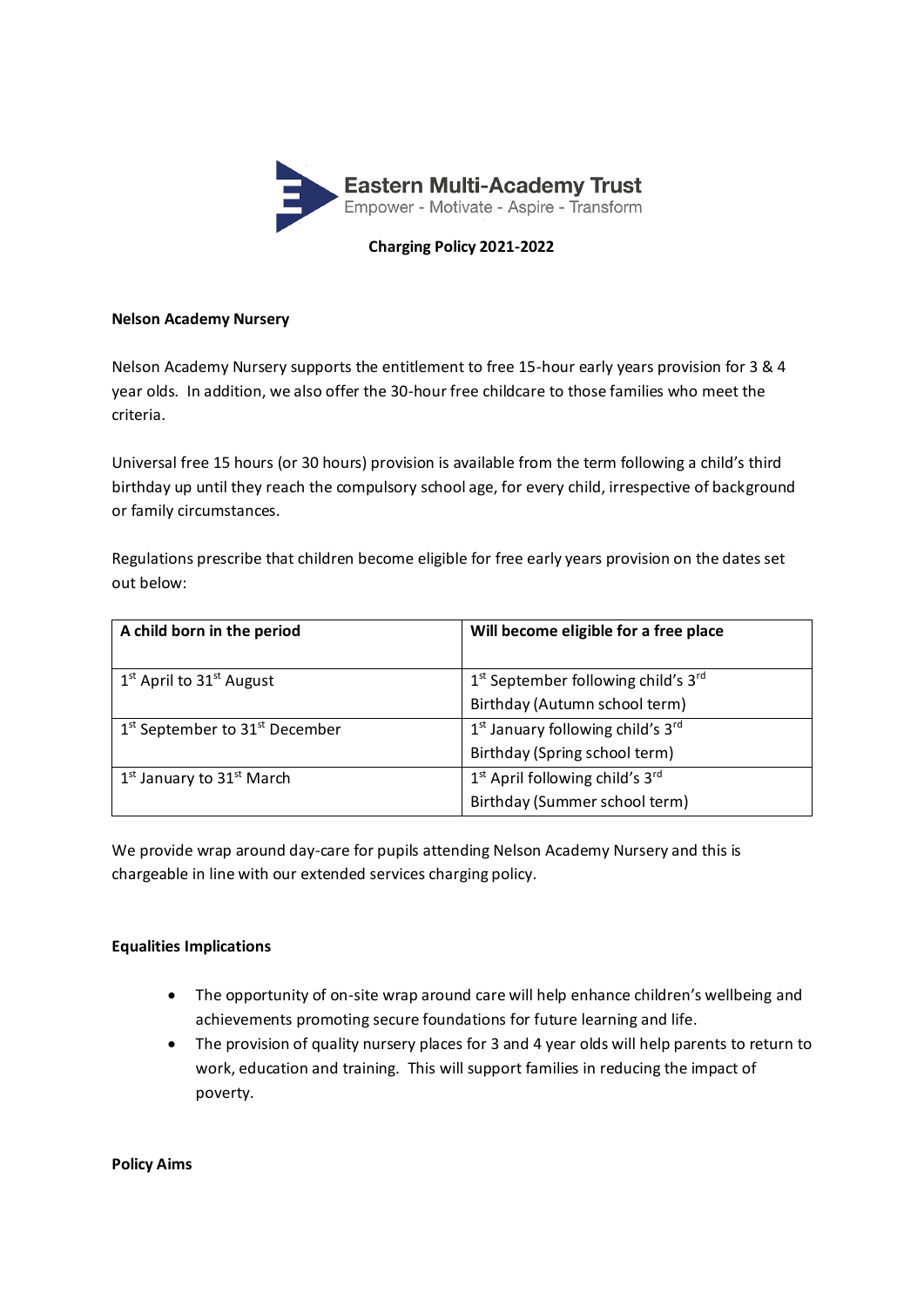

#### **Charging Policy 2021-2022**

#### **Nelson Academy Nursery**

Nelson Academy Nursery supports the entitlement to free 15-hour early years provision for 3 & 4 year olds. In addition, we also offer the 30-hour free childcare to those families who meet the criteria.

Universal free 15 hours (or 30 hours) provision is available from the term following a child's third birthday up until they reach the compulsory school age, for every child, irrespective of background or family circumstances.

Regulations prescribe that children become eligible for free early years provision on the dates set out below:

| A child born in the period                             | Will become eligible for a free place                     |
|--------------------------------------------------------|-----------------------------------------------------------|
| $1st$ April to 31 <sup>st</sup> August                 | 1st September following child's 3rd                       |
|                                                        | Birthday (Autumn school term)                             |
| 1 <sup>st</sup> September to 31 <sup>st</sup> December | 1 <sup>st</sup> January following child's 3 <sup>rd</sup> |
|                                                        | Birthday (Spring school term)                             |
| $1st$ January to $31st$ March                          | 1 <sup>st</sup> April following child's 3 <sup>rd</sup>   |
|                                                        | Birthday (Summer school term)                             |

We provide wrap around day-care for pupils attending Nelson Academy Nursery and this is chargeable in line with our extended services charging policy.

#### **Equalities Implications**

- The opportunity of on-site wrap around care will help enhance children's wellbeing and achievements promoting secure foundations for future learning and life.
- The provision of quality nursery places for 3 and 4 year olds will help parents to return to work, education and training. This will support families in reducing the impact of poverty.

**Policy Aims**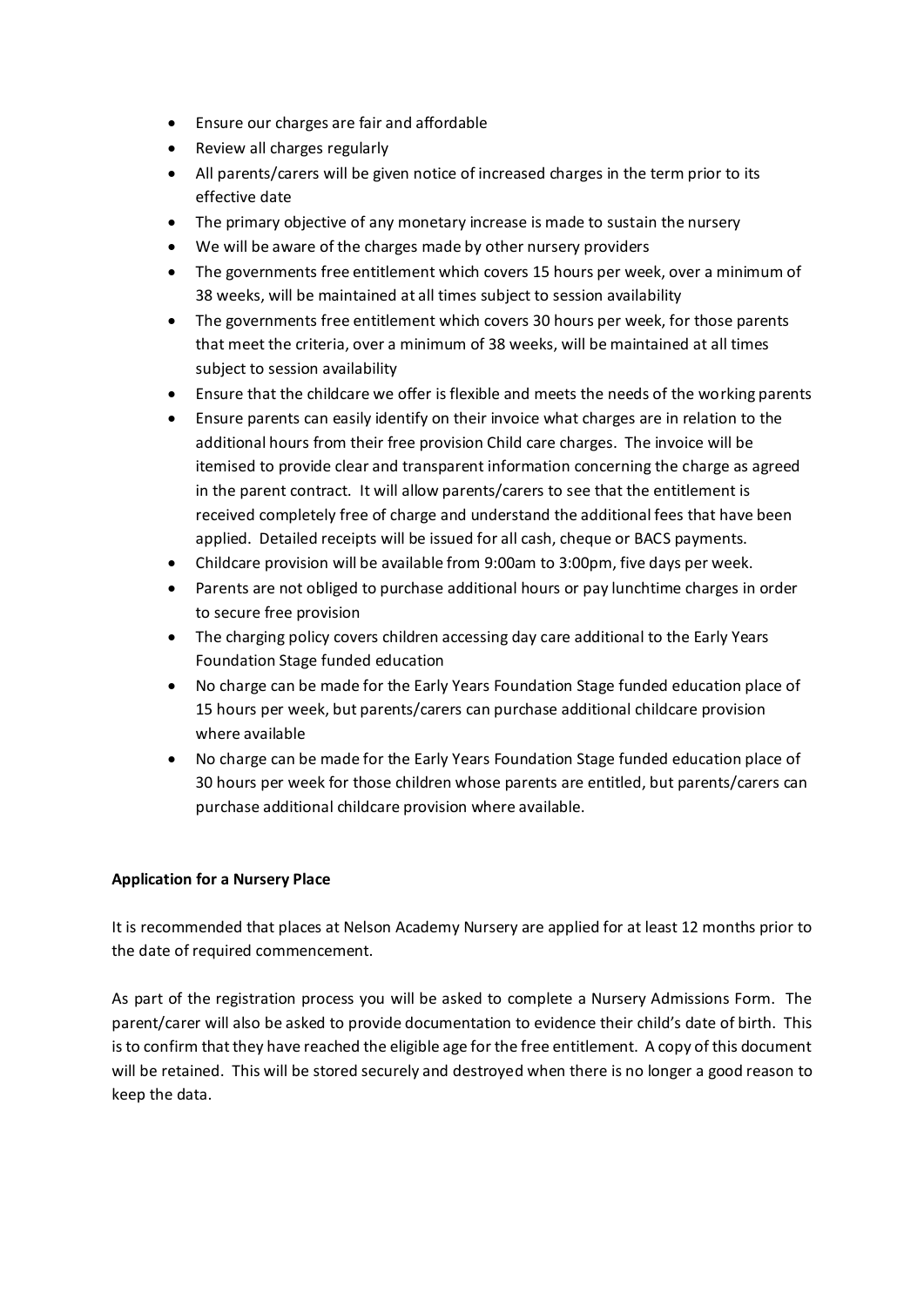- Ensure our charges are fair and affordable
- Review all charges regularly
- All parents/carers will be given notice of increased charges in the term prior to its effective date
- The primary objective of any monetary increase is made to sustain the nursery
- We will be aware of the charges made by other nursery providers
- The governments free entitlement which covers 15 hours per week, over a minimum of 38 weeks, will be maintained at all times subject to session availability
- The governments free entitlement which covers 30 hours per week, for those parents that meet the criteria, over a minimum of 38 weeks, will be maintained at all times subject to session availability
- Ensure that the childcare we offer is flexible and meets the needs of the working parents
- Ensure parents can easily identify on their invoice what charges are in relation to the additional hours from their free provision Child care charges. The invoice will be itemised to provide clear and transparent information concerning the charge as agreed in the parent contract. It will allow parents/carers to see that the entitlement is received completely free of charge and understand the additional fees that have been applied. Detailed receipts will be issued for all cash, cheque or BACS payments.
- Childcare provision will be available from 9:00am to 3:00pm, five days per week.
- Parents are not obliged to purchase additional hours or pay lunchtime charges in order to secure free provision
- The charging policy covers children accessing day care additional to the Early Years Foundation Stage funded education
- No charge can be made for the Early Years Foundation Stage funded education place of 15 hours per week, but parents/carers can purchase additional childcare provision where available
- No charge can be made for the Early Years Foundation Stage funded education place of 30 hours per week for those children whose parents are entitled, but parents/carers can purchase additional childcare provision where available.

# **Application for a Nursery Place**

It is recommended that places at Nelson Academy Nursery are applied for at least 12 months prior to the date of required commencement.

As part of the registration process you will be asked to complete a Nursery Admissions Form. The parent/carer will also be asked to provide documentation to evidence their child's date of birth. This is to confirm that they have reached the eligible age for the free entitlement. A copy of this document will be retained. This will be stored securely and destroyed when there is no longer a good reason to keep the data.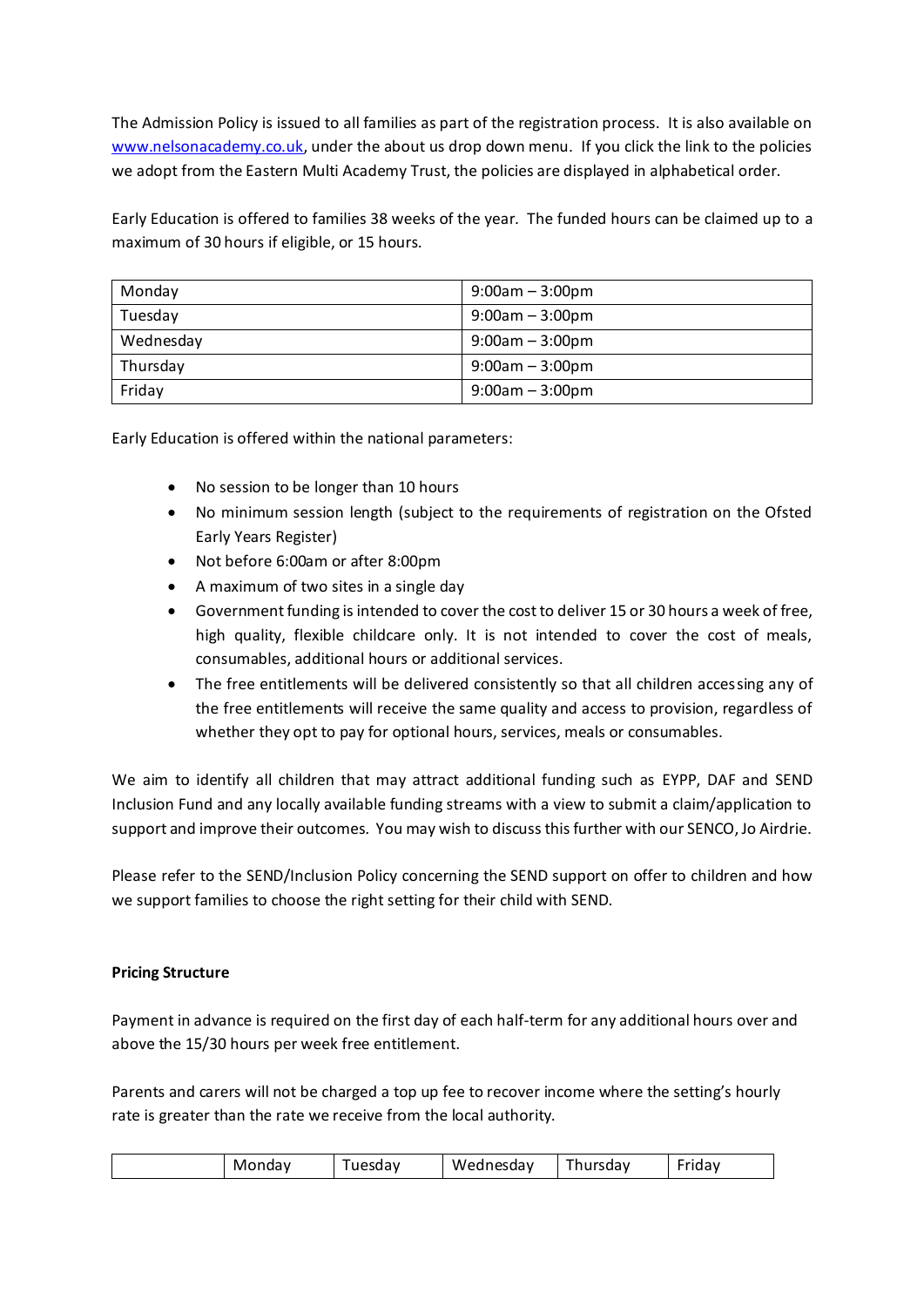The Admission Policy is issued to all families as part of the registration process. It is also available on [www.nelsonacademy.co.uk,](http://www.nelsonacademy.co.uk/) under the about us drop down menu. If you click the link to the policies we adopt from the Eastern Multi Academy Trust, the policies are displayed in alphabetical order.

Early Education is offered to families 38 weeks of the year. The funded hours can be claimed up to a maximum of 30 hours if eligible, or 15 hours.

| Monday    | $9:00am - 3:00pm$ |
|-----------|-------------------|
| Tuesday   | $9:00am - 3:00pm$ |
| Wednesday | $9:00am - 3:00pm$ |
| Thursday  | $9:00am - 3:00pm$ |
| Friday    | $9:00am - 3:00pm$ |

Early Education is offered within the national parameters:

- No session to be longer than 10 hours
- No minimum session length (subject to the requirements of registration on the Ofsted Early Years Register)
- Not before 6:00am or after 8:00pm
- A maximum of two sites in a single day
- Government funding is intended to cover the cost to deliver 15 or 30 hours a week of free, high quality, flexible childcare only. It is not intended to cover the cost of meals, consumables, additional hours or additional services.
- The free entitlements will be delivered consistently so that all children accessing any of the free entitlements will receive the same quality and access to provision, regardless of whether they opt to pay for optional hours, services, meals or consumables.

We aim to identify all children that may attract additional funding such as EYPP, DAF and SEND Inclusion Fund and any locally available funding streams with a view to submit a claim/application to support and improve their outcomes. You may wish to discuss this further with our SENCO, Jo Airdrie.

Please refer to the SEND/Inclusion Policy concerning the SEND support on offer to children and how we support families to choose the right setting for their child with SEND.

#### **Pricing Structure**

Payment in advance is required on the first day of each half-term for any additional hours over and above the 15/30 hours per week free entitlement.

Parents and carers will not be charged a top up fee to recover income where the setting's hourly rate is greater than the rate we receive from the local authority.

| - -<br>$\overline{\phantom{0}}$<br>. .<br>Wednesday<br>unesdav<br>hursdav<br>ivir<br>onuav<br>. .udV<br>Juu |
|-------------------------------------------------------------------------------------------------------------|
|-------------------------------------------------------------------------------------------------------------|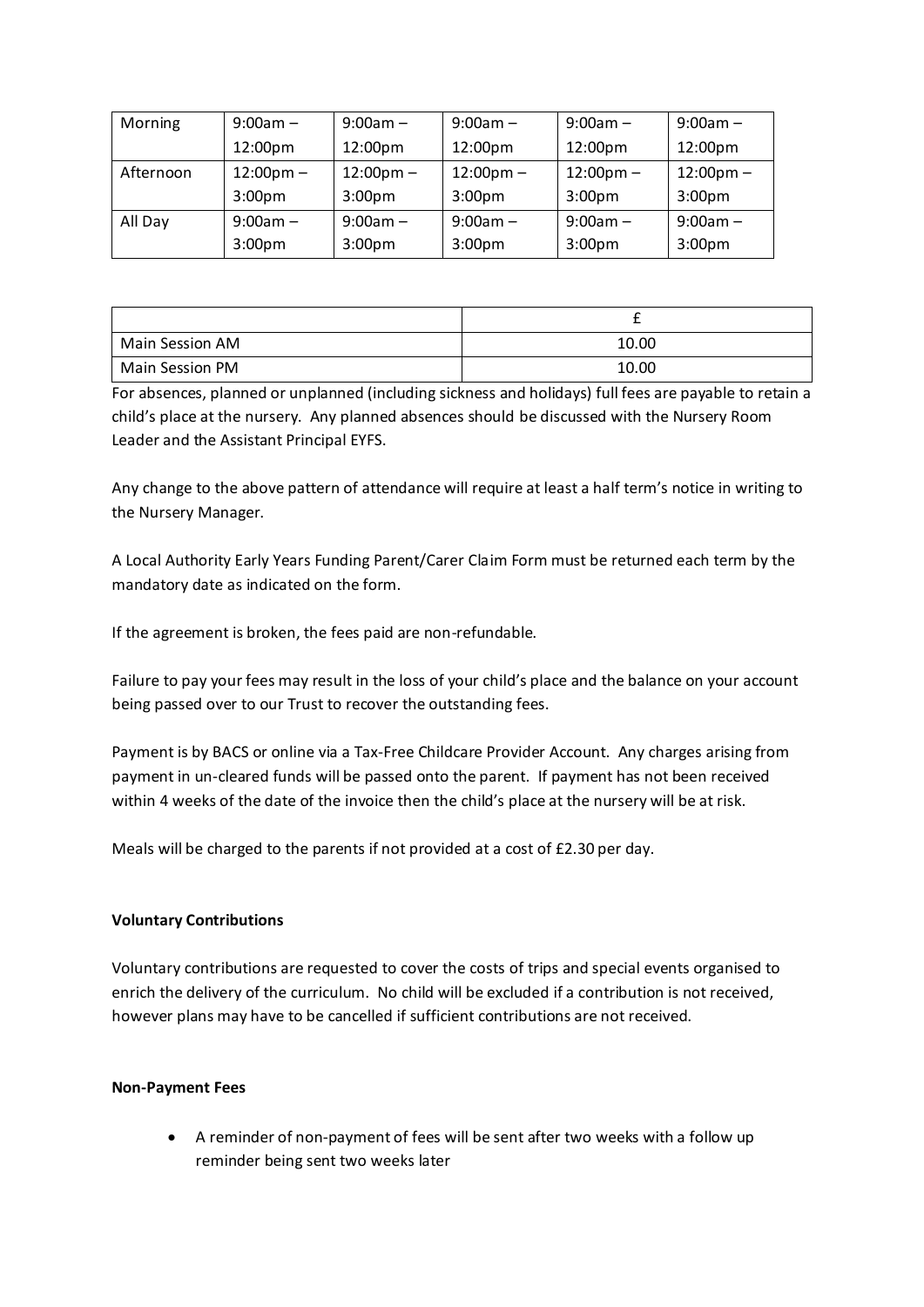| Morning   | $9:00am -$          | $9:00am -$          | $9:00am -$          | $9:00am -$          | $9:00am -$          |
|-----------|---------------------|---------------------|---------------------|---------------------|---------------------|
|           | 12:00pm             | 12:00pm             | 12:00pm             | 12:00pm             | 12:00pm             |
| Afternoon | $12:00 \text{pm} -$ | $12:00 \text{pm} -$ | $12:00 \text{pm} -$ | $12:00 \text{pm} -$ | $12:00 \text{pm} -$ |
|           | $3:00p$ m           | $3:00p$ m           | $3:00p$ m           | $3:00p$ m           | $3:00p$ m           |
| All Day   | $9:00am -$          | $9:00am -$          | $9:00am -$          | $9:00am -$          | $9:00am -$          |
|           | $3:00p$ m           | 3:00 <sub>pm</sub>  | $3:00p$ m           | $3:00p$ m           | $3:00p$ m           |

| Main Session AM | 10.00 |
|-----------------|-------|
| Main Session PM | 10.00 |

For absences, planned or unplanned (including sickness and holidays) full fees are payable to retain a child's place at the nursery. Any planned absences should be discussed with the Nursery Room Leader and the Assistant Principal EYFS.

Any change to the above pattern of attendance will require at least a half term's notice in writing to the Nursery Manager.

A Local Authority Early Years Funding Parent/Carer Claim Form must be returned each term by the mandatory date as indicated on the form.

If the agreement is broken, the fees paid are non-refundable.

Failure to pay your fees may result in the loss of your child's place and the balance on your account being passed over to our Trust to recover the outstanding fees.

Payment is by BACS or online via a Tax-Free Childcare Provider Account. Any charges arising from payment in un-cleared funds will be passed onto the parent. If payment has not been received within 4 weeks of the date of the invoice then the child's place at the nursery will be at risk.

Meals will be charged to the parents if not provided at a cost of £2.30 per day.

# **Voluntary Contributions**

Voluntary contributions are requested to cover the costs of trips and special events organised to enrich the delivery of the curriculum. No child will be excluded if a contribution is not received, however plans may have to be cancelled if sufficient contributions are not received.

#### **Non-Payment Fees**

• A reminder of non-payment of fees will be sent after two weeks with a follow up reminder being sent two weeks later